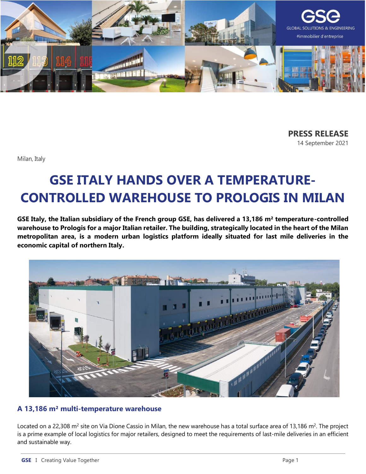

**PRESS RELEASE** 14 September 2021

Milan, Italy

# **GSE ITALY HANDS OVER A TEMPERATURE-CONTROLLED WAREHOUSE TO PROLOGIS IN MILAN**

**GSE Italy, the Italian subsidiary of the French group GSE, has delivered a 13,186 m² temperature-controlled warehouse to Prologis for a major Italian retailer. The building, strategically located in the heart of the Milan metropolitan area, is a modern urban logistics platform ideally situated for last mile deliveries in the economic capital of northern Italy.**



# **A 13,186 m² multi-temperature warehouse**

Located on a 22,308  $m^2$  site on Via Dione Cassio in Milan, the new warehouse has a total surface area of 13,186  $m^2$ . The project is a prime example of local logistics for major retailers, designed to meet the requirements of last-mile deliveries in an efficient and sustainable way.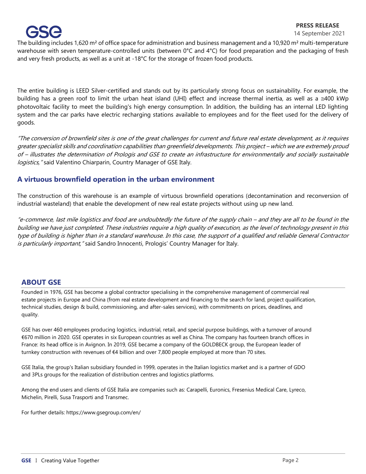

#### **PRESS RELEASE**

#### 14 September 2021

The building includes 1,620 m<sup>2</sup> of office space for administration and business management and a 10,920 m<sup>2</sup> multi-temperature warehouse with seven temperature-controlled units (between 0°C and 4°C) for food preparation and the packaging of fresh and very fresh products, as well as a unit at -18°C for the storage of frozen food products.

The entire building is LEED Silver-certified and stands out by its particularly strong focus on sustainability. For example, the building has a green roof to limit the urban heat island (UHI) effect and increase thermal inertia, as well as a  $\approx$ 400 kWp photovoltaic facility to meet the building's high energy consumption. In addition, the building has an internal LED lighting system and the car parks have electric recharging stations available to employees and for the fleet used for the delivery of goods.

"The conversion of brownfield sites is one of the great challenges for current and future real estate development, as it requires greater specialist skills and coordination capabilities than greenfield developments. This project – which we are extremely proud of – illustrates the determination of Prologis and GSE to create an infrastructure for environmentally and socially sustainable logistics, "said Valentino Chiarparin, Country Manager of GSE Italy.

### **A virtuous brownfield operation in the urban environment**

The construction of this warehouse is an example of virtuous brownfield operations (decontamination and reconversion of industrial wasteland) that enable the development of new real estate projects without using up new land.

"e-commerce, last mile logistics and food are undoubtedly the future of the supply chain – and they are all to be found in the building we have just completed. These industries require a high quality of execution, as the level of technology present in this type of building is higher than in a standard warehouse. In this case, the support of a qualified and reliable General Contractor is particularly important," said Sandro Innocenti, Prologis' Country Manager for Italy.

### **ABOUT GSE**

Founded in 1976, GSE has become a global contractor specialising in the comprehensive management of commercial real estate projects in Europe and China (from real estate development and financing to the search for land, project qualification, technical studies, design & build, commissioning, and after-sales services), with commitments on prices, deadlines, and quality.

GSE has over 460 employees producing logistics, industrial, retail, and special purpose buildings, with a turnover of around €670 million in 2020. GSE operates in six European countries as well as China. The company has fourteen branch offices in France: its head office is in Avignon. In 2019, GSE became a company of the GOLDBECK group, the European leader of turnkey construction with revenues of €4 billion and over 7,800 people employed at more than 70 sites.

GSE Italia, the group's Italian subsidiary founded in 1999, operates in the Italian logistics market and is a partner of GDO and 3PLs groups for the realization of distribution centres and logistics platforms.

Among the end users and clients of GSE Italia are companies such as: Carapelli, Euronics, Fresenius Medical Care, Lyreco, Michelin, Pirelli, Susa Trasporti and Transmec.

For further details: https://www.gsegroup.com/en/